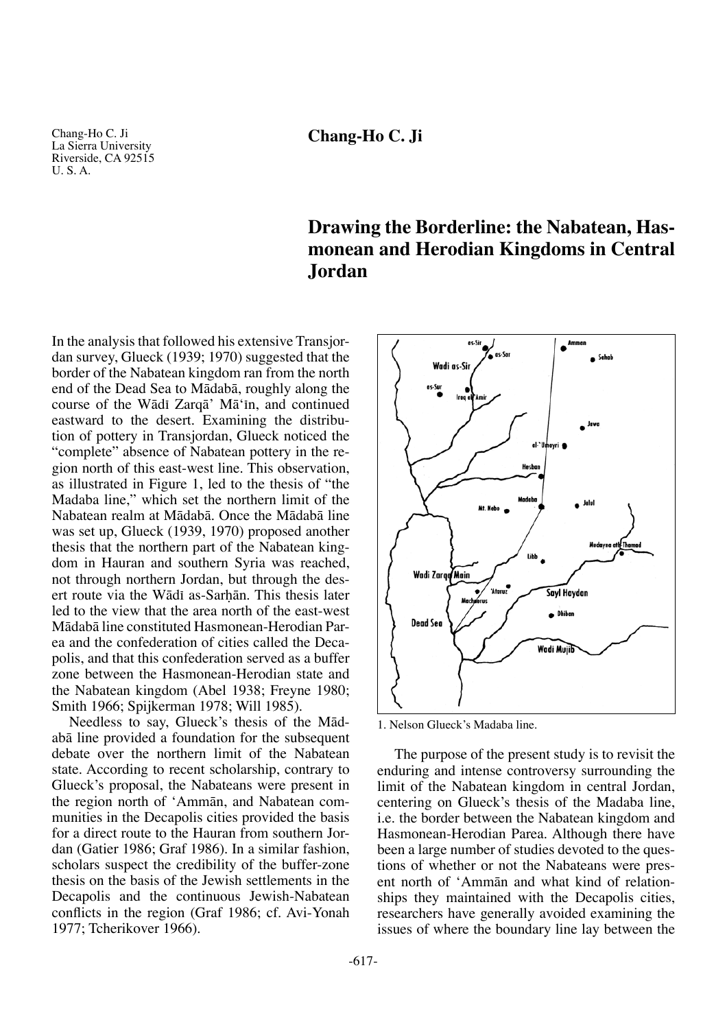Chang-Ho C. Ji La Sierra University Riverside, CA 92515 U. S. A.

## **Chang-Ho C. Ji**

# **Drawing the Borderline: the Nabatean, Hasmonean and Herodian Kingdoms in Central Jordan**

In the analysis that followed his extensive Transjordan survey, Glueck (1939; 1970) suggested that the border of the Nabatean kingdom ran from the north end of the Dead Sea to Mådabå, roughly along the course of the Wādī Zarqā' Mā'īn, and continued eastward to the desert. Examining the distribution of pottery in Transjordan, Glueck noticed the "complete" absence of Nabatean pottery in the region north of this east-west line. This observation, as illustrated in Figure 1, led to the thesis of "the Madaba line," which set the northern limit of the Nabatean realm at Mådabå. Once the Mådabå line was set up, Glueck (1939, 1970) proposed another thesis that the northern part of the Nabatean kingdom in Hauran and southern Syria was reached, not through northern Jordan, but through the desert route via the Wādī as-Sarhān. This thesis later led to the view that the area north of the east-west Mådabå line constituted Hasmonean-Herodian Parea and the confederation of cities called the Decapolis, and that this confederation served as a buffer zone between the Hasmonean-Herodian state and the Nabatean kingdom (Abel 1938; Freyne 1980; Smith 1966; Spijkerman 1978; Will 1985).

Needless to say, Glueck's thesis of the Mådabå line provided a foundation for the subsequent debate over the northern limit of the Nabatean state. According to recent scholarship, contrary to Glueck's proposal, the Nabateans were present in the region north of 'Ammån, and Nabatean communities in the Decapolis cities provided the basis for a direct route to the Hauran from southern Jordan (Gatier 1986; Graf 1986). In a similar fashion, scholars suspect the credibility of the buffer-zone thesis on the basis of the Jewish settlements in the Decapolis and the continuous Jewish-Nabatean conflicts in the region (Graf 1986; cf. Avi-Yonah 1977; Tcherikover 1966).



1. Nelson Glueck's Madaba line.

The purpose of the present study is to revisit the enduring and intense controversy surrounding the limit of the Nabatean kingdom in central Jordan, centering on Glueck's thesis of the Madaba line, i.e. the border between the Nabatean kingdom and Hasmonean-Herodian Parea. Although there have been a large number of studies devoted to the questions of whether or not the Nabateans were present north of 'Ammån and what kind of relationships they maintained with the Decapolis cities, researchers have generally avoided examining the issues of where the boundary line lay between the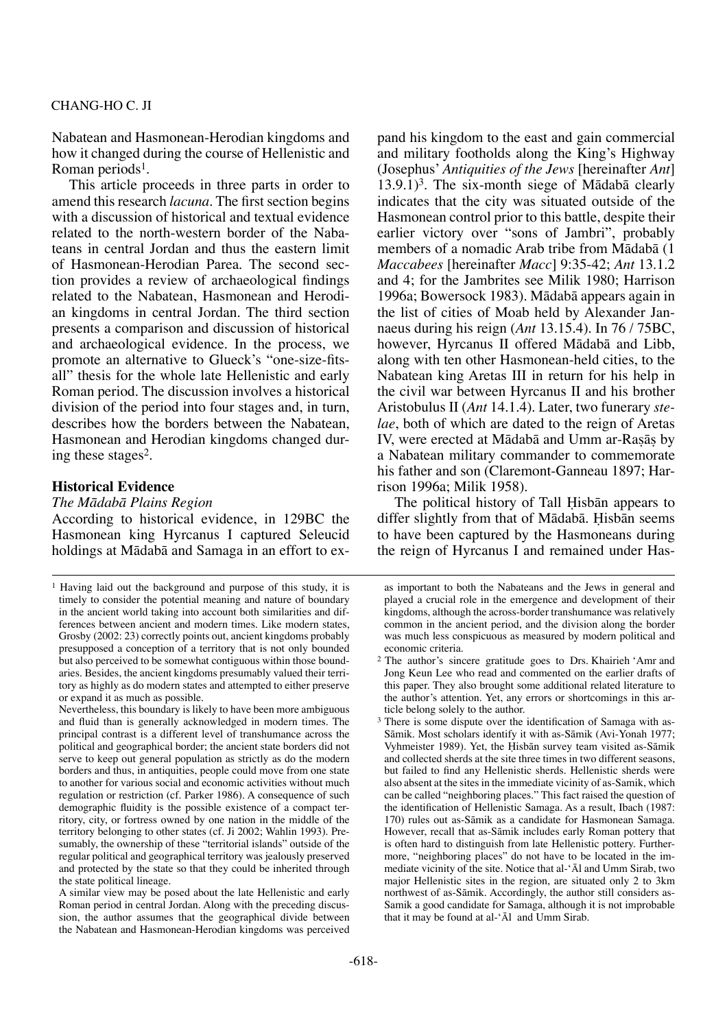Nabatean and Hasmonean-Herodian kingdoms and how it changed during the course of Hellenistic and Roman periods<sup>1</sup>.

This article proceeds in three parts in order to amend this research *lacuna*. The first section begins with a discussion of historical and textual evidence related to the north-western border of the Nabateans in central Jordan and thus the eastern limit of Hasmonean-Herodian Parea. The second section provides a review of archaeological findings related to the Nabatean, Hasmonean and Herodian kingdoms in central Jordan. The third section presents a comparison and discussion of historical and archaeological evidence. In the process, we promote an alternative to Glueck's "one-size-fitsall" thesis for the whole late Hellenistic and early Roman period. The discussion involves a historical division of the period into four stages and, in turn, describes how the borders between the Nabatean, Hasmonean and Herodian kingdoms changed during these stages2.

## **Historical Evidence**

## *The Mådabå Plains Region*

According to historical evidence, in 129BC the Hasmonean king Hyrcanus I captured Seleucid holdings at Mådabå and Samaga in an effort to expand his kingdom to the east and gain commercial and military footholds along the King's Highway (Josephus' *Antiquities of the Jews* [hereinafter *Ant*]  $13.9.1$ <sup>3</sup>. The six-month siege of Mādabā clearly indicates that the city was situated outside of the Hasmonean control prior to this battle, despite their earlier victory over "sons of Jambri", probably members of a nomadic Arab tribe from Mådabå (1 *Maccabees* [hereinafter *Macc*] 9:35-42; *Ant* 13.1.2 and 4; for the Jambrites see Milik 1980; Harrison 1996a; Bowersock 1983). Mådabå appears again in the list of cities of Moab held by Alexander Jannaeus during his reign (*Ant* 13.15.4). In 76 / 75BC, however, Hyrcanus II offered Mådabå and Libb, along with ten other Hasmonean-held cities, to the Nabatean king Aretas III in return for his help in the civil war between Hyrcanus II and his brother Aristobulus II (*Ant* 14.1.4). Later, two funerary *stelae*, both of which are dated to the reign of Aretas IV, were erected at Mādabā and Umm ar-Rasās by a Nabatean military commander to commemorate his father and son (Claremont-Ganneau 1897; Harrison 1996a; Milik 1958).

The political history of Tall Hisbān appears to differ slightly from that of Mādabā. Hisbān seems to have been captured by the Hasmoneans during the reign of Hyrcanus I and remained under Has-

<sup>1</sup> Having laid out the background and purpose of this study, it is timely to consider the potential meaning and nature of boundary in the ancient world taking into account both similarities and differences between ancient and modern times. Like modern states, Grosby (2002: 23) correctly points out, ancient kingdoms probably presupposed a conception of a territory that is not only bounded but also perceived to be somewhat contiguous within those boundaries. Besides, the ancient kingdoms presumably valued their territory as highly as do modern states and attempted to either preserve or expand it as much as possible.

Nevertheless, this boundary is likely to have been more ambiguous and fluid than is generally acknowledged in modern times. The principal contrast is a different level of transhumance across the political and geographical border; the ancient state borders did not serve to keep out general population as strictly as do the modern borders and thus, in antiquities, people could move from one state to another for various social and economic activities without much regulation or restriction (cf. Parker 1986). A consequence of such demographic fluidity is the possible existence of a compact territory, city, or fortress owned by one nation in the middle of the territory belonging to other states (cf. Ji 2002; Wahlin 1993). Presumably, the ownership of these "territorial islands" outside of the regular political and geographical territory was jealously preserved and protected by the state so that they could be inherited through the state political lineage.

A similar view may be posed about the late Hellenistic and early Roman period in central Jordan. Along with the preceding discussion, the author assumes that the geographical divide between the Nabatean and Hasmonean-Herodian kingdoms was perceived

as important to both the Nabateans and the Jews in general and played a crucial role in the emergence and development of their kingdoms, although the across-border transhumance was relatively common in the ancient period, and the division along the border was much less conspicuous as measured by modern political and economic criteria.

<sup>2</sup> The author's sincere gratitude goes to Drs. Khairieh 'Amr and Jong Keun Lee who read and commented on the earlier drafts of this paper. They also brought some additional related literature to the author's attention. Yet, any errors or shortcomings in this article belong solely to the author.

<sup>&</sup>lt;sup>3</sup> There is some dispute over the identification of Samaga with as-Såmik. Most scholars identify it with as-Såmik (Avi-Yonah 1977; Vyhmeister 1989). Yet, the Hisbān survey team visited as-Sāmik and collected sherds at the site three times in two different seasons, but failed to find any Hellenistic sherds. Hellenistic sherds were also absent at the sites in the immediate vicinity of as-Samik, which can be called "neighboring places." This fact raised the question of the identification of Hellenistic Samaga. As a result, Ibach (1987: 170) rules out as-Såmik as a candidate for Hasmonean Samaga. However, recall that as-Såmik includes early Roman pottery that is often hard to distinguish from late Hellenistic pottery. Furthermore, "neighboring places" do not have to be located in the immediate vicinity of the site. Notice that al-'Ål and Umm Sirab, two major Hellenistic sites in the region, are situated only 2 to 3km northwest of as-Såmik. Accordingly, the author still considers as-Samik a good candidate for Samaga, although it is not improbable that it may be found at al-'Ål and Umm Sirab.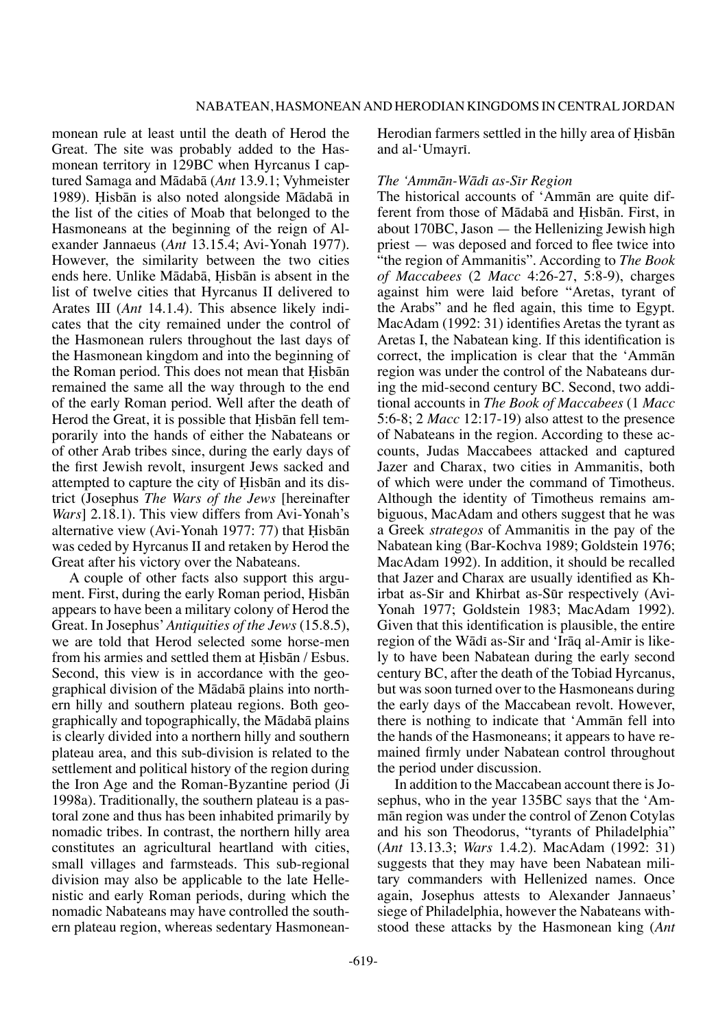monean rule at least until the death of Herod the Great. The site was probably added to the Hasmonean territory in 129BC when Hyrcanus I captured Samaga and Mådabå (*Ant* 13.9.1; Vyhmeister 1989). Hisbān is also noted alongside Mādabā in the list of the cities of Moab that belonged to the Hasmoneans at the beginning of the reign of Alexander Jannaeus (*Ant* 13.15.4; Avi-Yonah 1977). However, the similarity between the two cities ends here. Unlike Mādabā, Hisbān is absent in the list of twelve cities that Hyrcanus II delivered to Arates III (*Ant* 14.1.4). This absence likely indicates that the city remained under the control of the Hasmonean rulers throughout the last days of the Hasmonean kingdom and into the beginning of the Roman period. This does not mean that Hisbān remained the same all the way through to the end of the early Roman period. Well after the death of Herod the Great, it is possible that Hisbān fell temporarily into the hands of either the Nabateans or of other Arab tribes since, during the early days of the first Jewish revolt, insurgent Jews sacked and attempted to capture the city of Hisbān and its district (Josephus *The Wars of the Jews* [hereinafter *Wars*] 2.18.1). This view differs from Avi-Yonah's alternative view (Avi-Yonah 1977: 77) that Hisbān was ceded by Hyrcanus II and retaken by Herod the Great after his victory over the Nabateans.

A couple of other facts also support this argument. First, during the early Roman period, Hisbān appears to have been a military colony of Herod the Great. In Josephus' *Antiquities of the Jews* (15.8.5), we are told that Herod selected some horse-men from his armies and settled them at Hisbān / Esbus. Second, this view is in accordance with the geographical division of the Mådabå plains into northern hilly and southern plateau regions. Both geographically and topographically, the Mådabå plains is clearly divided into a northern hilly and southern plateau area, and this sub-division is related to the settlement and political history of the region during the Iron Age and the Roman-Byzantine period (Ji 1998a). Traditionally, the southern plateau is a pastoral zone and thus has been inhabited primarily by nomadic tribes. In contrast, the northern hilly area constitutes an agricultural heartland with cities, small villages and farmsteads. This sub-regional division may also be applicable to the late Hellenistic and early Roman periods, during which the nomadic Nabateans may have controlled the southern plateau region, whereas sedentary HasmoneanHerodian farmers settled in the hilly area of Hisbān and al-'Umayri.

## *The 'Ammån-Wådπ as-Sπr Region*

The historical accounts of 'Ammån are quite different from those of Mādabā and Hisbān. First, in about 170BC, Jason — the Hellenizing Jewish high priest — was deposed and forced to flee twice into "the region of Ammanitis". According to *The Book of Maccabees* (2 *Macc* 4:26-27, 5:8-9), charges against him were laid before "Aretas, tyrant of the Arabs" and he fled again, this time to Egypt. MacAdam (1992: 31) identifies Aretas the tyrant as Aretas I, the Nabatean king. If this identification is correct, the implication is clear that the 'Ammån region was under the control of the Nabateans during the mid-second century BC. Second, two additional accounts in *The Book of Maccabees* (1 *Macc* 5:6-8; 2 *Macc* 12:17-19) also attest to the presence of Nabateans in the region. According to these accounts, Judas Maccabees attacked and captured Jazer and Charax, two cities in Ammanitis, both of which were under the command of Timotheus. Although the identity of Timotheus remains ambiguous, MacAdam and others suggest that he was a Greek *strategos* of Ammanitis in the pay of the Nabatean king (Bar-Kochva 1989; Goldstein 1976; MacAdam 1992). In addition, it should be recalled that Jazer and Charax are usually identified as Khirbat as-Sir and Khirbat as-Sūr respectively (Avi-Yonah 1977; Goldstein 1983; MacAdam 1992). Given that this identification is plausible, the entire region of the Wādī as-Sīr and 'Irāq al-Amīr is likely to have been Nabatean during the early second century BC, after the death of the Tobiad Hyrcanus, but was soon turned over to the Hasmoneans during the early days of the Maccabean revolt. However, there is nothing to indicate that 'Ammån fell into the hands of the Hasmoneans; it appears to have remained firmly under Nabatean control throughout the period under discussion.

In addition to the Maccabean account there is Josephus, who in the year 135BC says that the 'Ammån region was under the control of Zenon Cotylas and his son Theodorus, "tyrants of Philadelphia" (*Ant* 13.13.3; *Wars* 1.4.2). MacAdam (1992: 31) suggests that they may have been Nabatean military commanders with Hellenized names. Once again, Josephus attests to Alexander Jannaeus' siege of Philadelphia, however the Nabateans withstood these attacks by the Hasmonean king (*Ant*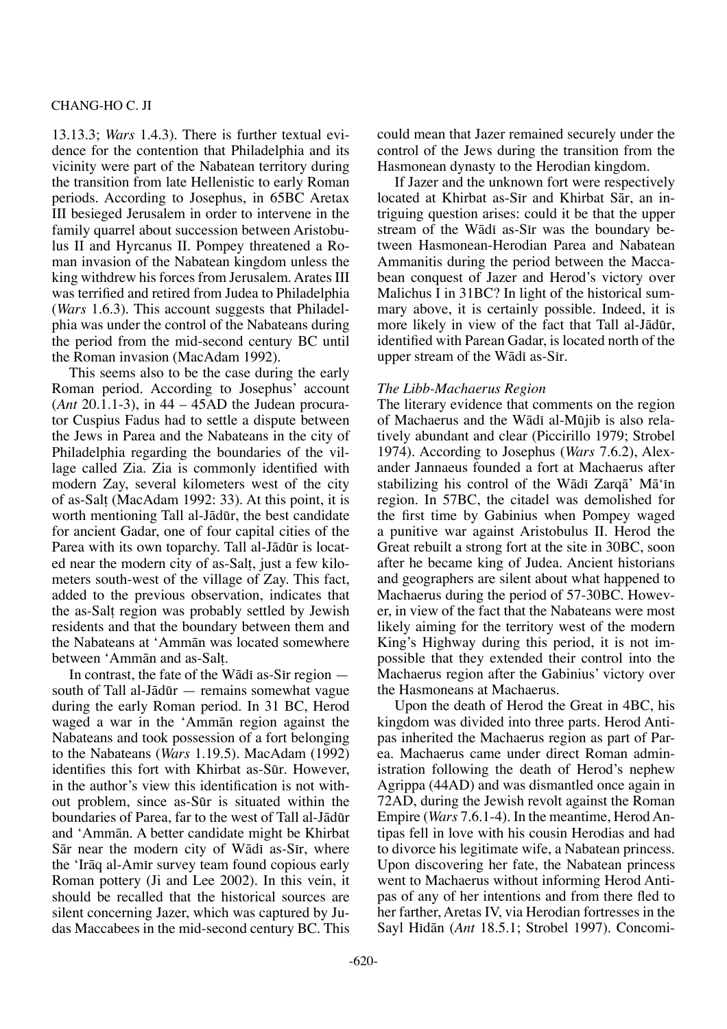13.13.3; *Wars* 1.4.3). There is further textual evidence for the contention that Philadelphia and its vicinity were part of the Nabatean territory during the transition from late Hellenistic to early Roman periods. According to Josephus, in 65BC Aretax III besieged Jerusalem in order to intervene in the family quarrel about succession between Aristobulus II and Hyrcanus II. Pompey threatened a Roman invasion of the Nabatean kingdom unless the king withdrew his forces from Jerusalem. Arates III was terrified and retired from Judea to Philadelphia (*Wars* 1.6.3). This account suggests that Philadelphia was under the control of the Nabateans during the period from the mid-second century BC until the Roman invasion (MacAdam 1992).

This seems also to be the case during the early Roman period. According to Josephus' account (*Ant* 20.1.1-3), in 44 – 45AD the Judean procurator Cuspius Fadus had to settle a dispute between the Jews in Parea and the Nabateans in the city of Philadelphia regarding the boundaries of the village called Zia. Zia is commonly identified with modern Zay, several kilometers west of the city of as-Sal† (MacAdam 1992: 33). At this point, it is worth mentioning Tall al-Jådør, the best candidate for ancient Gadar, one of four capital cities of the Parea with its own toparchy. Tall al-Jādūr is located near the modern city of as-Sal†, just a few kilometers south-west of the village of Zay. This fact, added to the previous observation, indicates that the as-Sal† region was probably settled by Jewish residents and that the boundary between them and the Nabateans at 'Ammån was located somewhere between 'Ammån and as-Sal†.

In contrast, the fate of the Wādī as-Sīr region  $$ south of Tall al-Jådør — remains somewhat vague during the early Roman period. In 31 BC, Herod waged a war in the 'Ammån region against the Nabateans and took possession of a fort belonging to the Nabateans (*Wars* 1.19.5). MacAdam (1992) identifies this fort with Khirbat as-Sūr. However, in the author's view this identification is not without problem, since as-Sør is situated within the boundaries of Parea, far to the west of Tall al-Jådør and 'Ammån. A better candidate might be Khirbat Sār near the modern city of Wādī as-Sīr, where the 'Irāq al-Amir survey team found copious early Roman pottery (Ji and Lee 2002). In this vein, it should be recalled that the historical sources are silent concerning Jazer, which was captured by Judas Maccabees in the mid-second century BC. This

could mean that Jazer remained securely under the control of the Jews during the transition from the Hasmonean dynasty to the Herodian kingdom.

If Jazer and the unknown fort were respectively located at Khirbat as-Sir and Khirbat Sār, an intriguing question arises: could it be that the upper stream of the Wādī as-Sīr was the boundary between Hasmonean-Herodian Parea and Nabatean Ammanitis during the period between the Maccabean conquest of Jazer and Herod's victory over Malichus I in 31BC? In light of the historical summary above, it is certainly possible. Indeed, it is more likely in view of the fact that Tall al-Jādūr, identified with Parean Gadar, is located north of the upper stream of the Wādī as-Sīr.

#### *The Libb-Machaerus Region*

The literary evidence that comments on the region of Machaerus and the Wādī al-Mūjib is also relatively abundant and clear (Piccirillo 1979; Strobel 1974). According to Josephus (*Wars* 7.6.2), Alexander Jannaeus founded a fort at Machaerus after stabilizing his control of the Wādī Zarqā' Mā'īn region. In 57BC, the citadel was demolished for the first time by Gabinius when Pompey waged a punitive war against Aristobulus II. Herod the Great rebuilt a strong fort at the site in 30BC, soon after he became king of Judea. Ancient historians and geographers are silent about what happened to Machaerus during the period of 57-30BC. However, in view of the fact that the Nabateans were most likely aiming for the territory west of the modern King's Highway during this period, it is not impossible that they extended their control into the Machaerus region after the Gabinius' victory over the Hasmoneans at Machaerus.

Upon the death of Herod the Great in 4BC, his kingdom was divided into three parts. Herod Antipas inherited the Machaerus region as part of Parea. Machaerus came under direct Roman administration following the death of Herod's nephew Agrippa (44AD) and was dismantled once again in 72AD, during the Jewish revolt against the Roman Empire (*Wars* 7.6.1-4). In the meantime, Herod Antipas fell in love with his cousin Herodias and had to divorce his legitimate wife, a Nabatean princess. Upon discovering her fate, the Nabatean princess went to Machaerus without informing Herod Antipas of any of her intentions and from there fled to her farther, Aretas IV, via Herodian fortresses in the Sayl Hidān (*Ant* 18.5.1; Strobel 1997). Concomi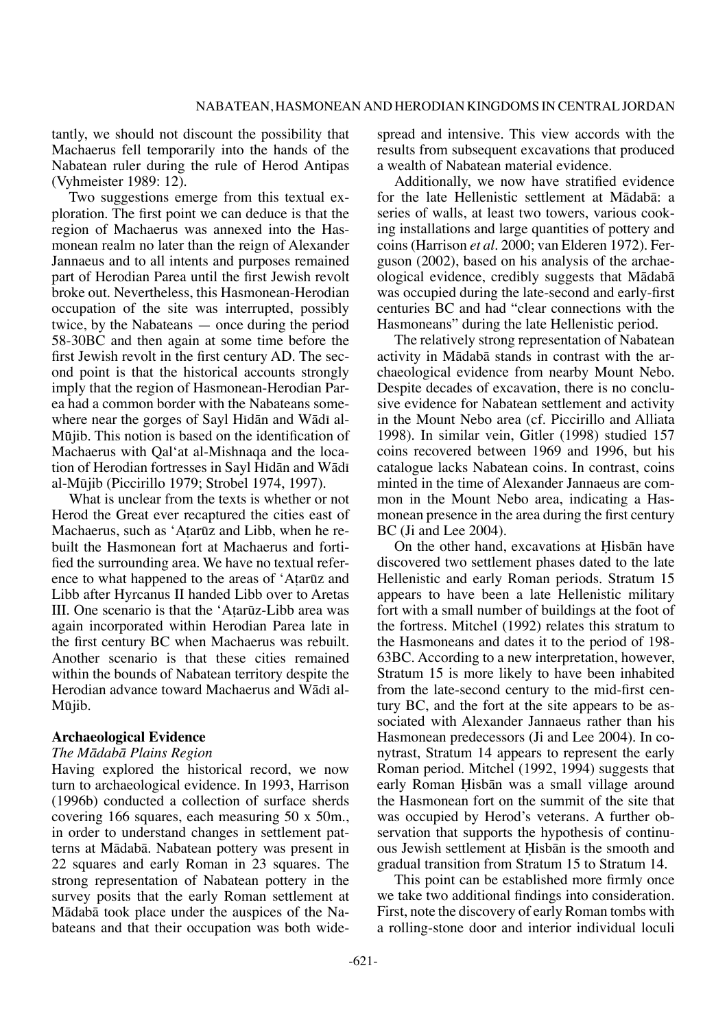tantly, we should not discount the possibility that Machaerus fell temporarily into the hands of the Nabatean ruler during the rule of Herod Antipas (Vyhmeister 1989: 12).

Two suggestions emerge from this textual exploration. The first point we can deduce is that the region of Machaerus was annexed into the Hasmonean realm no later than the reign of Alexander Jannaeus and to all intents and purposes remained part of Herodian Parea until the first Jewish revolt broke out. Nevertheless, this Hasmonean-Herodian occupation of the site was interrupted, possibly twice, by the Nabateans — once during the period 58-30BC and then again at some time before the first Jewish revolt in the first century AD. The second point is that the historical accounts strongly imply that the region of Hasmonean-Herodian Parea had a common border with the Nabateans somewhere near the gorges of Sayl Hidān and Wādī al-Møjib. This notion is based on the identification of Machaerus with Qal'at al-Mishnaqa and the location of Herodian fortresses in Sayl Hidān and Wādī al-Møjib (Piccirillo 1979; Strobel 1974, 1997).

What is unclear from the texts is whether or not Herod the Great ever recaptured the cities east of Machaerus, such as 'Atarūz and Libb, when he rebuilt the Hasmonean fort at Machaerus and fortified the surrounding area. We have no textual reference to what happened to the areas of 'Atarūz and Libb after Hyrcanus II handed Libb over to Aretas III. One scenario is that the 'A†arøz-Libb area was again incorporated within Herodian Parea late in the first century BC when Machaerus was rebuilt. Another scenario is that these cities remained within the bounds of Nabatean territory despite the Herodian advance toward Machaerus and Wādī al-Møjib.

## **Archaeological Evidence**

#### *The Mådabå Plains Region*

Having explored the historical record, we now turn to archaeological evidence. In 1993, Harrison (1996b) conducted a collection of surface sherds covering 166 squares, each measuring 50 x 50m., in order to understand changes in settlement patterns at Mådabå. Nabatean pottery was present in 22 squares and early Roman in 23 squares. The strong representation of Nabatean pottery in the survey posits that the early Roman settlement at Mådabå took place under the auspices of the Nabateans and that their occupation was both widespread and intensive. This view accords with the results from subsequent excavations that produced a wealth of Nabatean material evidence.

Additionally, we now have stratified evidence for the late Hellenistic settlement at Mådabå: a series of walls, at least two towers, various cooking installations and large quantities of pottery and coins (Harrison *et al.* 2000; van Elderen 1972). Ferguson (2002), based on his analysis of the archaeological evidence, credibly suggests that Mådabå was occupied during the late-second and early-first centuries BC and had "clear connections with the Hasmoneans" during the late Hellenistic period.

The relatively strong representation of Nabatean activity in Mådabå stands in contrast with the archaeological evidence from nearby Mount Nebo. Despite decades of excavation, there is no conclusive evidence for Nabatean settlement and activity in the Mount Nebo area (cf. Piccirillo and Alliata 1998). In similar vein, Gitler (1998) studied 157 coins recovered between 1969 and 1996, but his catalogue lacks Nabatean coins. In contrast, coins minted in the time of Alexander Jannaeus are common in the Mount Nebo area, indicating a Hasmonean presence in the area during the first century BC (Ji and Lee 2004).

On the other hand, excavations at Hisbān have discovered two settlement phases dated to the late Hellenistic and early Roman periods. Stratum 15 appears to have been a late Hellenistic military fort with a small number of buildings at the foot of the fortress. Mitchel (1992) relates this stratum to the Hasmoneans and dates it to the period of 198- 63BC. According to a new interpretation, however, Stratum 15 is more likely to have been inhabited from the late-second century to the mid-first century BC, and the fort at the site appears to be associated with Alexander Jannaeus rather than his Hasmonean predecessors (Ji and Lee 2004). In conytrast, Stratum 14 appears to represent the early Roman period. Mitchel (1992, 1994) suggests that early Roman Hisbān was a small village around the Hasmonean fort on the summit of the site that was occupied by Herod's veterans. A further observation that supports the hypothesis of continuous Jewish settlement at Hisbān is the smooth and gradual transition from Stratum 15 to Stratum 14.

This point can be established more firmly once we take two additional findings into consideration. First, note the discovery of early Roman tombs with a rolling-stone door and interior individual loculi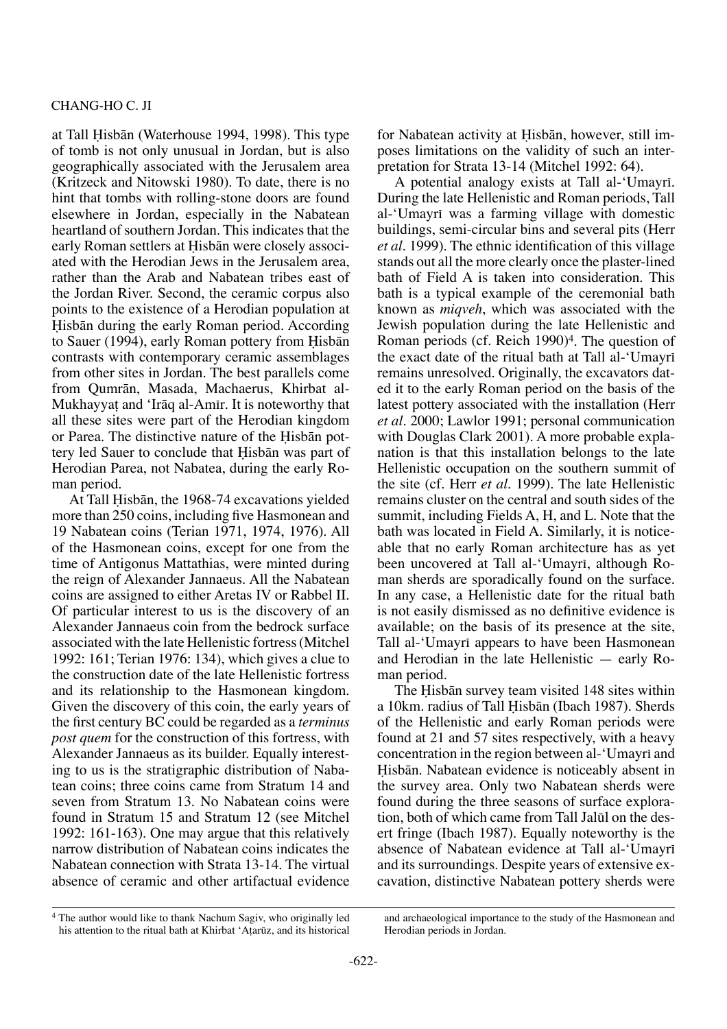#### Chang-Ho C. Ji

at Tall Hisbān (Waterhouse 1994, 1998). This type of tomb is not only unusual in Jordan, but is also geographically associated with the Jerusalem area (Kritzeck and Nitowski 1980). To date, there is no hint that tombs with rolling-stone doors are found elsewhere in Jordan, especially in the Nabatean heartland of southern Jordan. This indicates that the early Roman settlers at Hisbān were closely associated with the Herodian Jews in the Jerusalem area, rather than the Arab and Nabatean tribes east of the Jordan River. Second, the ceramic corpus also points to the existence of a Herodian population at Hisbān during the early Roman period. According to Sauer (1994), early Roman pottery from Hisbān contrasts with contemporary ceramic assemblages from other sites in Jordan. The best parallels come from Qumrån, Masada, Machaerus, Khirbat al-Mukhayyat and 'Irāq al-Amīr. It is noteworthy that all these sites were part of the Herodian kingdom or Parea. The distinctive nature of the Hisban pottery led Sauer to conclude that Hisban was part of Herodian Parea, not Nabatea, during the early Roman period.

At Tall Hisbān, the 1968-74 excavations yielded more than 250 coins, including five Hasmonean and 19 Nabatean coins (Terian 1971, 1974, 1976). All of the Hasmonean coins, except for one from the time of Antigonus Mattathias, were minted during the reign of Alexander Jannaeus. All the Nabatean coins are assigned to either Aretas IV or Rabbel II. Of particular interest to us is the discovery of an Alexander Jannaeus coin from the bedrock surface associated with the late Hellenistic fortress (Mitchel 1992: 161; Terian 1976: 134), which gives a clue to the construction date of the late Hellenistic fortress and its relationship to the Hasmonean kingdom. Given the discovery of this coin, the early years of the first century BC could be regarded as a *terminus post quem* for the construction of this fortress, with Alexander Jannaeus as its builder. Equally interesting to us is the stratigraphic distribution of Nabatean coins; three coins came from Stratum 14 and seven from Stratum 13. No Nabatean coins were found in Stratum 15 and Stratum 12 (see Mitchel 1992: 161-163). One may argue that this relatively narrow distribution of Nabatean coins indicates the Nabatean connection with Strata 13-14. The virtual absence of ceramic and other artifactual evidence for Nabatean activity at Hisbān, however, still imposes limitations on the validity of such an interpretation for Strata 13-14 (Mitchel 1992: 64).

A potential analogy exists at Tall al-'Umayri. During the late Hellenistic and Roman periods, Tall al-'Umayrī was a farming village with domestic buildings, semi-circular bins and several pits (Herr *et al.* 1999). The ethnic identification of this village stands out all the more clearly once the plaster-lined bath of Field A is taken into consideration. This bath is a typical example of the ceremonial bath known as *miqveh*, which was associated with the Jewish population during the late Hellenistic and Roman periods (cf. Reich 1990)<sup>4</sup>. The question of the exact date of the ritual bath at Tall al-'Umayrī remains unresolved. Originally, the excavators dated it to the early Roman period on the basis of the latest pottery associated with the installation (Herr *et al.* 2000; Lawlor 1991; personal communication with Douglas Clark 2001). A more probable explanation is that this installation belongs to the late Hellenistic occupation on the southern summit of the site (cf. Herr *et al.* 1999). The late Hellenistic remains cluster on the central and south sides of the summit, including Fields A, H, and L. Note that the bath was located in Field A. Similarly, it is noticeable that no early Roman architecture has as yet been uncovered at Tall al-'Umayri, although Roman sherds are sporadically found on the surface. In any case, a Hellenistic date for the ritual bath is not easily dismissed as no definitive evidence is available; on the basis of its presence at the site, Tall al-'Umayrī appears to have been Hasmonean and Herodian in the late Hellenistic — early Roman period.

The Hisban survey team visited 148 sites within a 10km. radius of Tall Hisbān (Ibach 1987). Sherds of the Hellenistic and early Roman periods were found at 21 and 57 sites respectively, with a heavy concentration in the region between al-'Umayrī and Hisbān. Nabatean evidence is noticeably absent in the survey area. Only two Nabatean sherds were found during the three seasons of surface exploration, both of which came from Tall Jaløl on the desert fringe (Ibach 1987). Equally noteworthy is the absence of Nabatean evidence at Tall al-'Umayrī and its surroundings. Despite years of extensive excavation, distinctive Nabatean pottery sherds were

<sup>4</sup> The author would like to thank Nachum Sagiv, who originally led his attention to the ritual bath at Khirbat 'Atarūz, and its historical

and archaeological importance to the study of the Hasmonean and Herodian periods in Jordan.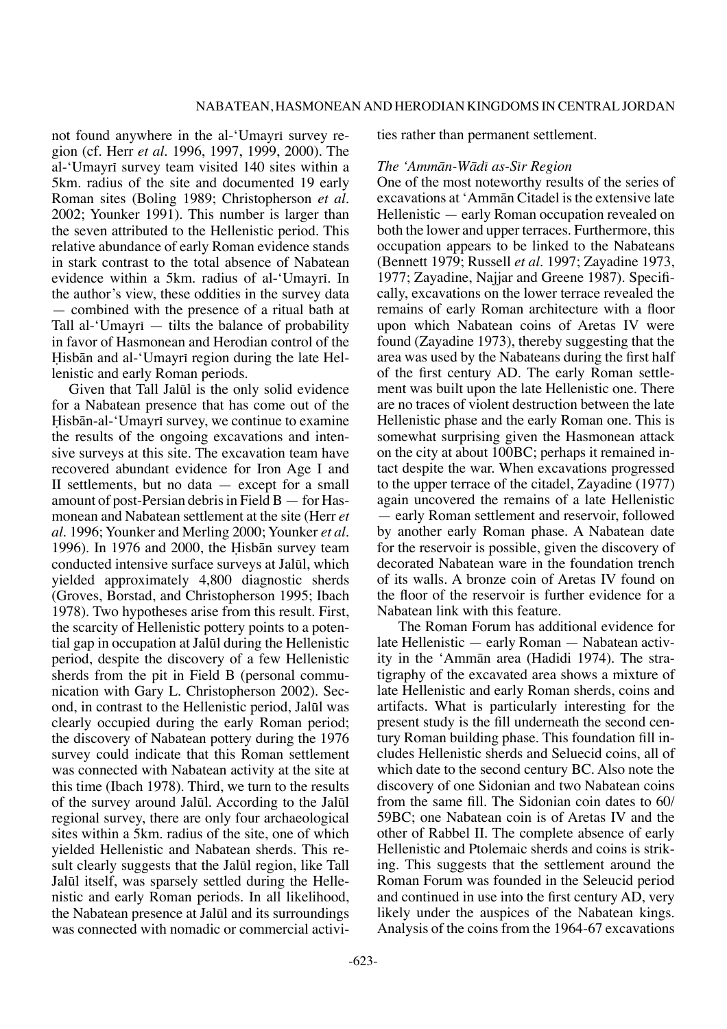not found anywhere in the al-'Umayri survey region (cf. Herr *et al.* 1996, 1997, 1999, 2000). The al-'Umayrī survey team visited 140 sites within a 5km. radius of the site and documented 19 early Roman sites (Boling 1989; Christopherson *et al.*  2002; Younker 1991). This number is larger than the seven attributed to the Hellenistic period. This relative abundance of early Roman evidence stands in stark contrast to the total absence of Nabatean evidence within a 5km. radius of al-'Umayrī. In the author's view, these oddities in the survey data — combined with the presence of a ritual bath at Tall al-'Umayri  $-$  tilts the balance of probability in favor of Hasmonean and Herodian control of the Hisbān and al-'Umayrī region during the late Hellenistic and early Roman periods.

Given that Tall Jaløl is the only solid evidence for a Nabatean presence that has come out of the Hisbān-al-'Umayrī survey, we continue to examine the results of the ongoing excavations and intensive surveys at this site. The excavation team have recovered abundant evidence for Iron Age I and II settlements, but no data — except for a small amount of post-Persian debris in Field B — for Hasmonean and Nabatean settlement at the site (Herr *et al.* 1996; Younker and Merling 2000; Younker *et al.*  1996). In 1976 and 2000, the Hisban survey team conducted intensive surface surveys at Jaløl, which yielded approximately 4,800 diagnostic sherds (Groves, Borstad, and Christopherson 1995; Ibach 1978). Two hypotheses arise from this result. First, the scarcity of Hellenistic pottery points to a potential gap in occupation at Jaløl during the Hellenistic period, despite the discovery of a few Hellenistic sherds from the pit in Field B (personal communication with Gary L. Christopherson 2002). Second, in contrast to the Hellenistic period, Jaløl was clearly occupied during the early Roman period; the discovery of Nabatean pottery during the 1976 survey could indicate that this Roman settlement was connected with Nabatean activity at the site at this time (Ibach 1978). Third, we turn to the results of the survey around Jaløl. According to the Jaløl regional survey, there are only four archaeological sites within a 5km. radius of the site, one of which yielded Hellenistic and Nabatean sherds. This result clearly suggests that the Jalūl region, like Tall Jaløl itself, was sparsely settled during the Hellenistic and early Roman periods. In all likelihood, the Nabatean presence at Jaløl and its surroundings was connected with nomadic or commercial activities rather than permanent settlement.

#### *The 'Ammån-Wådπ as-Sπr Region*

One of the most noteworthy results of the series of excavations at 'Ammån Citadel is the extensive late Hellenistic — early Roman occupation revealed on both the lower and upper terraces. Furthermore, this occupation appears to be linked to the Nabateans (Bennett 1979; Russell *et al.* 1997; Zayadine 1973, 1977; Zayadine, Najjar and Greene 1987). Specifically, excavations on the lower terrace revealed the remains of early Roman architecture with a floor upon which Nabatean coins of Aretas IV were found (Zayadine 1973), thereby suggesting that the area was used by the Nabateans during the first half of the first century AD. The early Roman settlement was built upon the late Hellenistic one. There are no traces of violent destruction between the late Hellenistic phase and the early Roman one. This is somewhat surprising given the Hasmonean attack on the city at about 100BC; perhaps it remained intact despite the war. When excavations progressed to the upper terrace of the citadel, Zayadine (1977) again uncovered the remains of a late Hellenistic — early Roman settlement and reservoir, followed by another early Roman phase. A Nabatean date for the reservoir is possible, given the discovery of decorated Nabatean ware in the foundation trench of its walls. A bronze coin of Aretas IV found on the floor of the reservoir is further evidence for a Nabatean link with this feature.

 The Roman Forum has additional evidence for late Hellenistic — early Roman — Nabatean activity in the 'Ammån area (Hadidi 1974). The stratigraphy of the excavated area shows a mixture of late Hellenistic and early Roman sherds, coins and artifacts. What is particularly interesting for the present study is the fill underneath the second century Roman building phase. This foundation fill includes Hellenistic sherds and Seluecid coins, all of which date to the second century BC. Also note the discovery of one Sidonian and two Nabatean coins from the same fill. The Sidonian coin dates to 60/ 59BC; one Nabatean coin is of Aretas IV and the other of Rabbel II. The complete absence of early Hellenistic and Ptolemaic sherds and coins is striking. This suggests that the settlement around the Roman Forum was founded in the Seleucid period and continued in use into the first century AD, very likely under the auspices of the Nabatean kings. Analysis of the coins from the 1964-67 excavations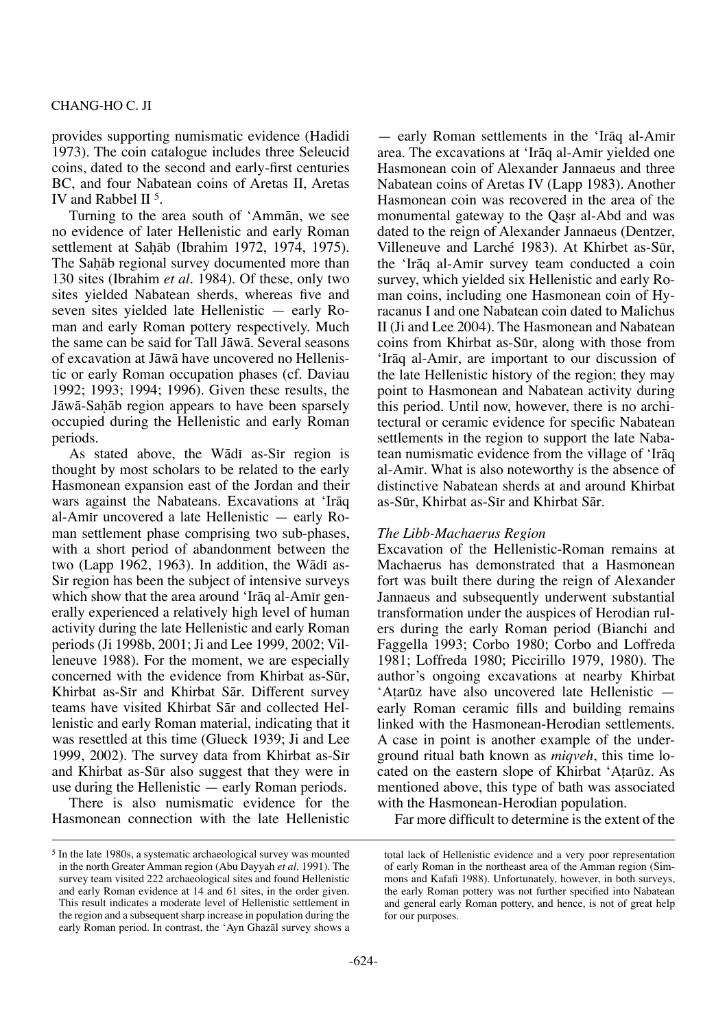#### Chang-Ho C. Ji

provides supporting numismatic evidence (Hadidi 1973). The coin catalogue includes three Seleucid coins, dated to the second and early-first centuries BC, and four Nabatean coins of Aretas II, Aretas IV and Rabbel II 5.

Turning to the area south of 'Ammån, we see no evidence of later Hellenistic and early Roman settlement at Sahāb (Ibrahim 1972, 1974, 1975). The Sahāb regional survey documented more than 130 sites (Ibrahim *et al.* 1984). Of these, only two sites yielded Nabatean sherds, whereas five and seven sites yielded late Hellenistic — early Roman and early Roman pottery respectively. Much the same can be said for Tall Jåwå. Several seasons of excavation at Jåwå have uncovered no Hellenistic or early Roman occupation phases (cf. Daviau 1992; 1993; 1994; 1996). Given these results, the Jāwā-Sahāb region appears to have been sparsely occupied during the Hellenistic and early Roman periods.

As stated above, the Wādī as-Sir region is thought by most scholars to be related to the early Hasmonean expansion east of the Jordan and their wars against the Nabateans. Excavations at 'Iråq al-Amπr uncovered a late Hellenistic — early Roman settlement phase comprising two sub-phases, with a short period of abandonment between the two (Lapp 1962, 1963). In addition, the Wādī as-Sir region has been the subject of intensive surveys which show that the area around 'Irāq al-Amīr generally experienced a relatively high level of human activity during the late Hellenistic and early Roman periods (Ji 1998b, 2001; Ji and Lee 1999, 2002; Villeneuve 1988). For the moment, we are especially concerned with the evidence from Khirbat as-Sør, Khirbat as-Sir and Khirbat Sār. Different survey teams have visited Khirbat Sår and collected Hellenistic and early Roman material, indicating that it was resettled at this time (Glueck 1939; Ji and Lee 1999, 2002). The survey data from Khirbat as-Sir and Khirbat as-Sør also suggest that they were in use during the Hellenistic — early Roman periods.

There is also numismatic evidence for the Hasmonean connection with the late Hellenistic

— early Roman settlements in the 'Iråq al-Amπr area. The excavations at 'Irāq al-Amir yielded one Hasmonean coin of Alexander Jannaeus and three Nabatean coins of Aretas IV (Lapp 1983). Another Hasmonean coin was recovered in the area of the monumental gateway to the Oasr al-Abd and was dated to the reign of Alexander Jannaeus (Dentzer, Villeneuve and Larché 1983). At Khirbet as-Sør, the 'Iråq al-Amπr survey team conducted a coin survey, which yielded six Hellenistic and early Roman coins, including one Hasmonean coin of Hyracanus I and one Nabatean coin dated to Malichus II (Ji and Lee 2004). The Hasmonean and Nabatean coins from Khirbat as-Sør, along with those from 'Iråq al-Amπr, are important to our discussion of the late Hellenistic history of the region; they may point to Hasmonean and Nabatean activity during this period. Until now, however, there is no architectural or ceramic evidence for specific Nabatean settlements in the region to support the late Nabatean numismatic evidence from the village of 'Iråq al-Amπr. What is also noteworthy is the absence of distinctive Nabatean sherds at and around Khirbat as-Sør, Khirbat as-Sπr and Khirbat Sår.

## *The Libb-Machaerus Region*

Excavation of the Hellenistic-Roman remains at Machaerus has demonstrated that a Hasmonean fort was built there during the reign of Alexander Jannaeus and subsequently underwent substantial transformation under the auspices of Herodian rulers during the early Roman period (Bianchi and Faggella 1993; Corbo 1980; Corbo and Loffreda 1981; Loffreda 1980; Piccirillo 1979, 1980). The author's ongoing excavations at nearby Khirbat 'A†arøz have also uncovered late Hellenistic early Roman ceramic fills and building remains linked with the Hasmonean-Herodian settlements. A case in point is another example of the underground ritual bath known as *miqveh*, this time located on the eastern slope of Khirbat 'Atarūz. As mentioned above, this type of bath was associated with the Hasmonean-Herodian population.

Far more difficult to determine is the extent of the

<sup>5</sup> In the late 1980s, a systematic archaeological survey was mounted in the north Greater Amman region (Abu Dayyah *et al.* 1991). The survey team visited 222 archaeological sites and found Hellenistic and early Roman evidence at 14 and 61 sites, in the order given. This result indicates a moderate level of Hellenistic settlement in the region and a subsequent sharp increase in population during the early Roman period. In contrast, the 'Ayn Ghazål survey shows a

total lack of Hellenistic evidence and a very poor representation of early Roman in the northeast area of the Amman region (Simmons and Kafafi 1988). Unfortunately, however, in both surveys, the early Roman pottery was not further specified into Nabatean and general early Roman pottery, and hence, is not of great help for our purposes.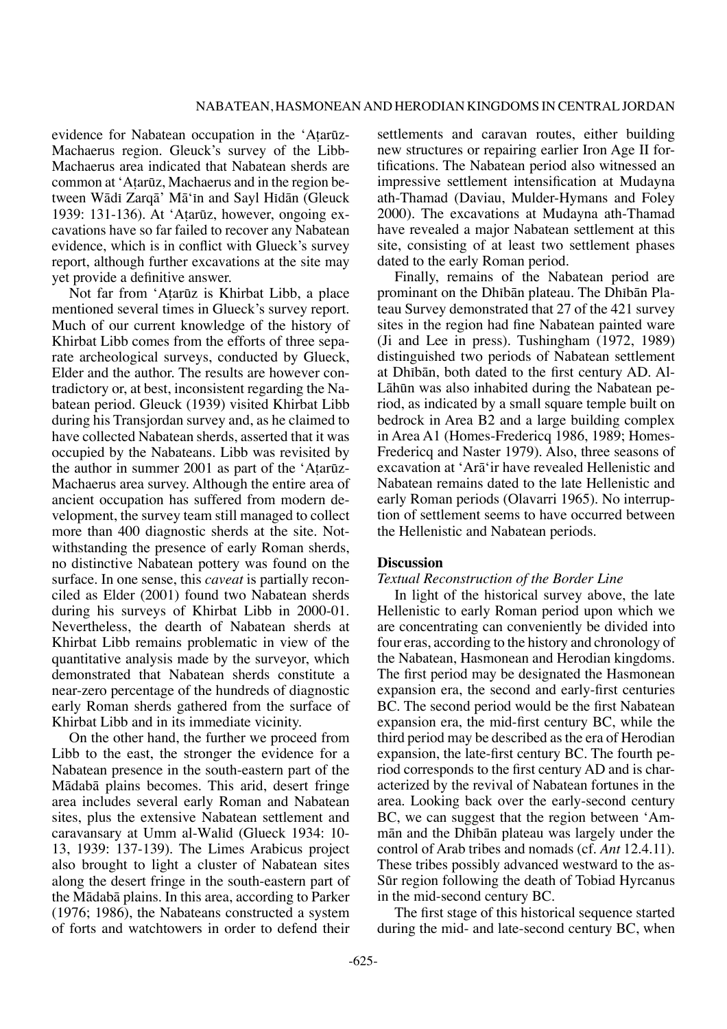evidence for Nabatean occupation in the 'Atarūz-Machaerus region. Gleuck's survey of the Libb-Machaerus area indicated that Nabatean sherds are common at 'Atarūz, Machaerus and in the region between Wādī Zarqā' Mā'in and Sayl Hidān (Gleuck 1939: 131-136). At 'A†arøz, however, ongoing excavations have so far failed to recover any Nabatean evidence, which is in conflict with Glueck's survey report, although further excavations at the site may yet provide a definitive answer.

Not far from 'Atarūz is Khirbat Libb, a place mentioned several times in Glueck's survey report. Much of our current knowledge of the history of Khirbat Libb comes from the efforts of three separate archeological surveys, conducted by Glueck, Elder and the author. The results are however contradictory or, at best, inconsistent regarding the Nabatean period. Gleuck (1939) visited Khirbat Libb during his Transjordan survey and, as he claimed to have collected Nabatean sherds, asserted that it was occupied by the Nabateans. Libb was revisited by the author in summer 2001 as part of the 'Atarūz-Machaerus area survey. Although the entire area of ancient occupation has suffered from modern development, the survey team still managed to collect more than 400 diagnostic sherds at the site. Notwithstanding the presence of early Roman sherds, no distinctive Nabatean pottery was found on the surface. In one sense, this *caveat* is partially reconciled as Elder (2001) found two Nabatean sherds during his surveys of Khirbat Libb in 2000-01. Nevertheless, the dearth of Nabatean sherds at Khirbat Libb remains problematic in view of the quantitative analysis made by the surveyor, which demonstrated that Nabatean sherds constitute a near-zero percentage of the hundreds of diagnostic early Roman sherds gathered from the surface of Khirbat Libb and in its immediate vicinity.

On the other hand, the further we proceed from Libb to the east, the stronger the evidence for a Nabatean presence in the south-eastern part of the Mådabå plains becomes. This arid, desert fringe area includes several early Roman and Nabatean sites, plus the extensive Nabatean settlement and caravansary at Umm al-Walīd (Glueck 1934: 10-13, 1939: 137-139). The Limes Arabicus project also brought to light a cluster of Nabatean sites along the desert fringe in the south-eastern part of the Mådabå plains. In this area, according to Parker (1976; 1986), the Nabateans constructed a system of forts and watchtowers in order to defend their

settlements and caravan routes, either building new structures or repairing earlier Iron Age II fortifications. The Nabatean period also witnessed an impressive settlement intensification at Mudayna ath-Thamad (Daviau, Mulder-Hymans and Foley 2000). The excavations at Mudayna ath-Thamad have revealed a major Nabatean settlement at this site, consisting of at least two settlement phases dated to the early Roman period.

Finally, remains of the Nabatean period are prominant on the Dhībān plateau. The Dhībān Plateau Survey demonstrated that 27 of the 421 survey sites in the region had fine Nabatean painted ware (Ji and Lee in press). Tushingham (1972, 1989) distinguished two periods of Nabatean settlement at Dhibān, both dated to the first century AD. Al-Låhøn was also inhabited during the Nabatean period, as indicated by a small square temple built on bedrock in Area B2 and a large building complex in Area A1 (Homes-Fredericq 1986, 1989; Homes-Fredericq and Naster 1979). Also, three seasons of excavation at 'Arå'ir have revealed Hellenistic and Nabatean remains dated to the late Hellenistic and early Roman periods (Olavarri 1965). No interruption of settlement seems to have occurred between the Hellenistic and Nabatean periods.

#### **Discussion**

#### *Textual Reconstruction of the Border Line*

In light of the historical survey above, the late Hellenistic to early Roman period upon which we are concentrating can conveniently be divided into four eras, according to the history and chronology of the Nabatean, Hasmonean and Herodian kingdoms. The first period may be designated the Hasmonean expansion era, the second and early-first centuries BC. The second period would be the first Nabatean expansion era, the mid-first century BC, while the third period may be described as the era of Herodian expansion, the late-first century BC. The fourth period corresponds to the first century AD and is characterized by the revival of Nabatean fortunes in the area. Looking back over the early-second century BC, we can suggest that the region between 'Ammān and the Dhībān plateau was largely under the control of Arab tribes and nomads (cf. *Ant* 12.4.11). These tribes possibly advanced westward to the as-Sør region following the death of Tobiad Hyrcanus in the mid-second century BC.

The first stage of this historical sequence started during the mid- and late-second century BC, when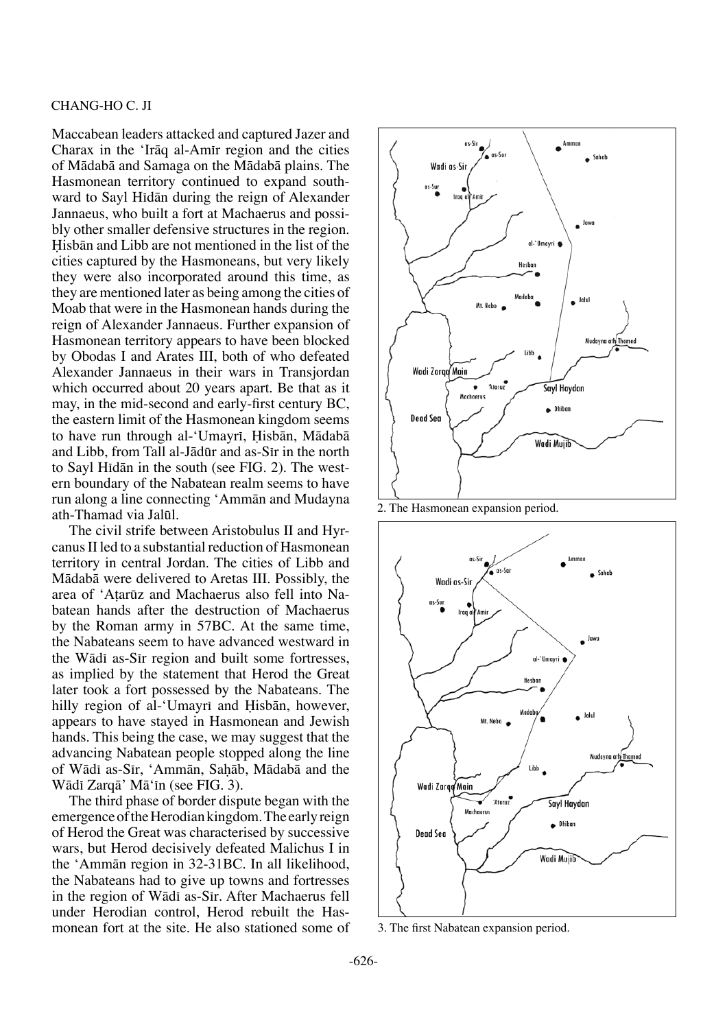#### Chang-Ho C. Ji

Maccabean leaders attacked and captured Jazer and Charax in the 'Iråq al-Amπr region and the cities of Mådabå and Samaga on the Mådabå plains. The Hasmonean territory continued to expand southward to Sayl Hidān during the reign of Alexander Jannaeus, who built a fort at Machaerus and possibly other smaller defensive structures in the region. Hisbān and Libb are not mentioned in the list of the cities captured by the Hasmoneans, but very likely they were also incorporated around this time, as they are mentioned later as being among the cities of Moab that were in the Hasmonean hands during the reign of Alexander Jannaeus. Further expansion of Hasmonean territory appears to have been blocked by Obodas I and Arates III, both of who defeated Alexander Jannaeus in their wars in Transjordan which occurred about 20 years apart. Be that as it may, in the mid-second and early-first century BC, the eastern limit of the Hasmonean kingdom seems to have run through al-'Umayrī, Hisbān, Mādabā and Libb, from Tall al-Jādūr and as-Sīr in the north to Sayl Hidān in the south (see FIG. 2). The western boundary of the Nabatean realm seems to have run along a line connecting 'Ammån and Mudayna ath-Thamad via Jaløl.

The civil strife between Aristobulus II and Hyrcanus II led to a substantial reduction of Hasmonean territory in central Jordan. The cities of Libb and Mådabå were delivered to Aretas III. Possibly, the area of 'A†arøz and Machaerus also fell into Nabatean hands after the destruction of Machaerus by the Roman army in 57BC. At the same time, the Nabateans seem to have advanced westward in the Wādī as-Sīr region and built some fortresses, as implied by the statement that Herod the Great later took a fort possessed by the Nabateans. The hilly region of al-'Umayri and Hisbān, however, appears to have stayed in Hasmonean and Jewish hands. This being the case, we may suggest that the advancing Nabatean people stopped along the line of Wādī as-Sīr, 'Ammān, Sahāb, Mādabā and the Wādī Zarqā' Mā'īn (see FIG. 3).

The third phase of border dispute began with the emergence of the Herodian kingdom. The early reign of Herod the Great was characterised by successive wars, but Herod decisively defeated Malichus I in the 'Ammån region in 32-31BC. In all likelihood, the Nabateans had to give up towns and fortresses in the region of Wādī as-Sīr. After Machaerus fell under Herodian control, Herod rebuilt the Hasmonean fort at the site. He also stationed some of



2. The Hasmonean expansion period.



3. The first Nabatean expansion period.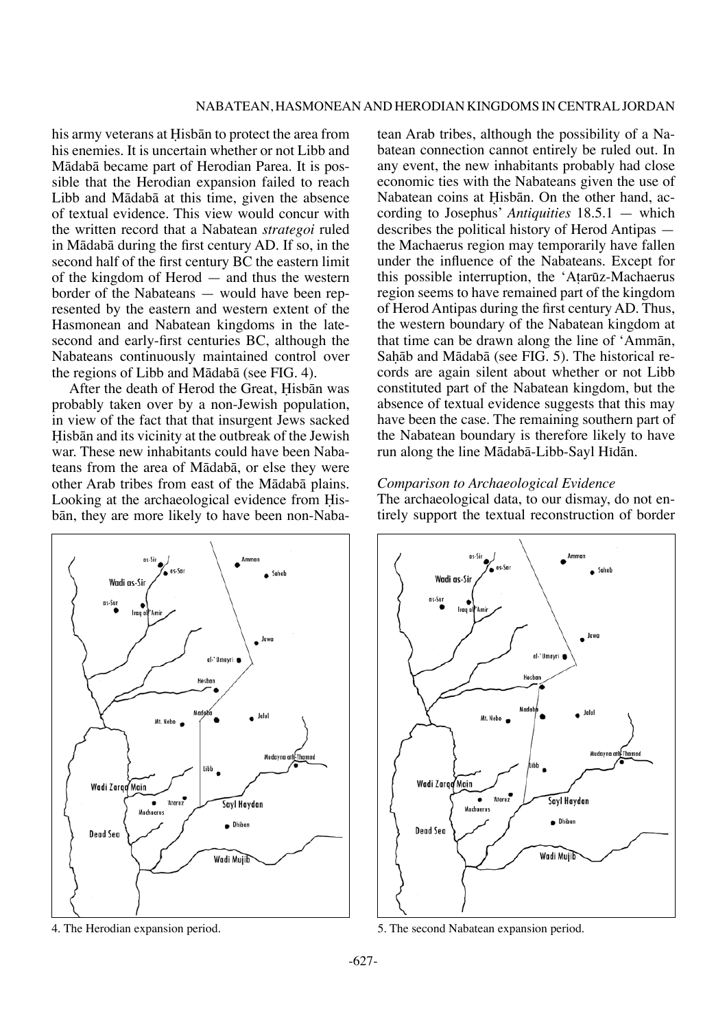his army veterans at Hisbān to protect the area from his enemies. It is uncertain whether or not Libb and Mådabå became part of Herodian Parea. It is possible that the Herodian expansion failed to reach Libb and Mådabå at this time, given the absence of textual evidence. This view would concur with the written record that a Nabatean *strategoi* ruled in Mådabå during the first century AD. If so, in the second half of the first century BC the eastern limit of the kingdom of Herod — and thus the western border of the Nabateans — would have been represented by the eastern and western extent of the Hasmonean and Nabatean kingdoms in the latesecond and early-first centuries BC, although the Nabateans continuously maintained control over the regions of Libb and Mådabå (see FIG. 4).

After the death of Herod the Great, Hisbān was probably taken over by a non-Jewish population, in view of the fact that that insurgent Jews sacked Hisbān and its vicinity at the outbreak of the Jewish war. These new inhabitants could have been Nabateans from the area of Mådabå, or else they were other Arab tribes from east of the Mådabå plains. Looking at the archaeological evidence from Hisbån, they are more likely to have been non-Naba-



tean Arab tribes, although the possibility of a Nabatean connection cannot entirely be ruled out. In any event, the new inhabitants probably had close economic ties with the Nabateans given the use of Nabatean coins at Hisbān. On the other hand, according to Josephus' *Antiquities* 18.5.1 — which describes the political history of Herod Antipas the Machaerus region may temporarily have fallen under the influence of the Nabateans. Except for this possible interruption, the 'Atarūz-Machaerus' region seems to have remained part of the kingdom of Herod Antipas during the first century AD. Thus, the western boundary of the Nabatean kingdom at that time can be drawn along the line of 'Ammån, Sahāb and Mādabā (see FIG. 5). The historical records are again silent about whether or not Libb constituted part of the Nabatean kingdom, but the absence of textual evidence suggests that this may have been the case. The remaining southern part of the Nabatean boundary is therefore likely to have run along the line Mādabā-Libb-Sayl Hīdān.

#### *Comparison to Archaeological Evidence*

The archaeological data, to our dismay, do not entirely support the textual reconstruction of border



4. The Herodian expansion period. 5. The second Nabatean expansion period.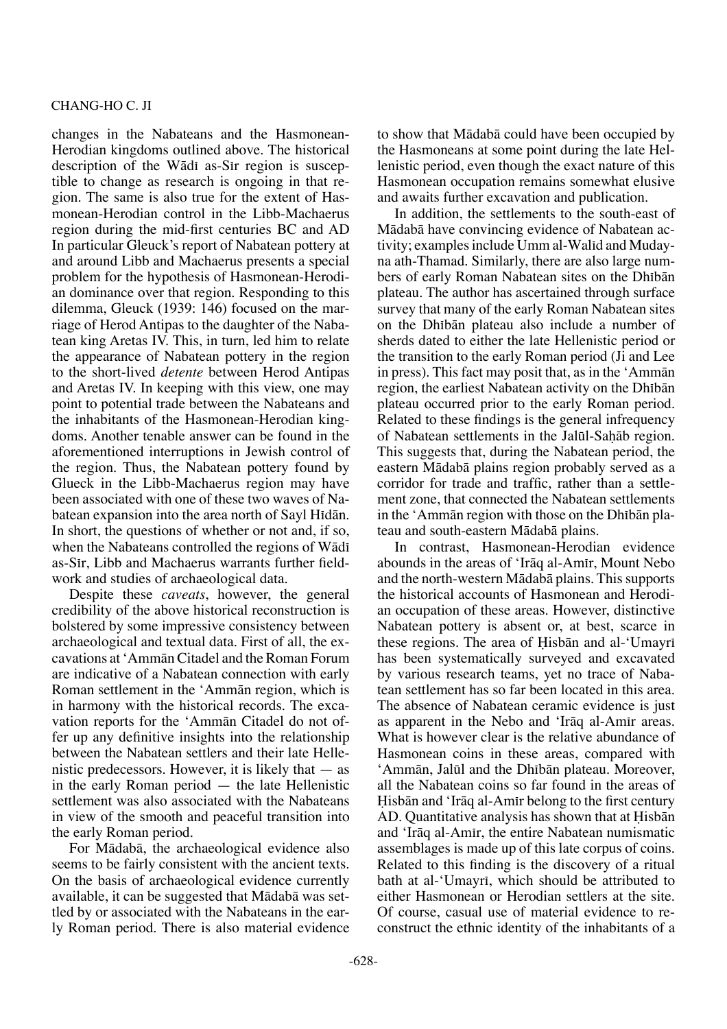changes in the Nabateans and the Hasmonean-Herodian kingdoms outlined above. The historical description of the Wādī as-Sir region is susceptible to change as research is ongoing in that region. The same is also true for the extent of Hasmonean-Herodian control in the Libb-Machaerus region during the mid-first centuries BC and AD In particular Gleuck's report of Nabatean pottery at and around Libb and Machaerus presents a special problem for the hypothesis of Hasmonean-Herodian dominance over that region. Responding to this dilemma, Gleuck (1939: 146) focused on the marriage of Herod Antipas to the daughter of the Nabatean king Aretas IV. This, in turn, led him to relate the appearance of Nabatean pottery in the region to the short-lived *detente* between Herod Antipas and Aretas IV. In keeping with this view, one may point to potential trade between the Nabateans and the inhabitants of the Hasmonean-Herodian kingdoms. Another tenable answer can be found in the aforementioned interruptions in Jewish control of the region. Thus, the Nabatean pottery found by Glueck in the Libb-Machaerus region may have been associated with one of these two waves of Nabatean expansion into the area north of Sayl Hidān. In short, the questions of whether or not and, if so, when the Nabateans controlled the regions of Wādī as-Sir, Libb and Machaerus warrants further fieldwork and studies of archaeological data.

Despite these *caveats*, however, the general credibility of the above historical reconstruction is bolstered by some impressive consistency between archaeological and textual data. First of all, the excavations at 'Ammån Citadel and the Roman Forum are indicative of a Nabatean connection with early Roman settlement in the 'Ammån region, which is in harmony with the historical records. The excavation reports for the 'Ammån Citadel do not offer up any definitive insights into the relationship between the Nabatean settlers and their late Hellenistic predecessors. However, it is likely that — as in the early Roman period — the late Hellenistic settlement was also associated with the Nabateans in view of the smooth and peaceful transition into the early Roman period.

For Mådabå, the archaeological evidence also seems to be fairly consistent with the ancient texts. On the basis of archaeological evidence currently available, it can be suggested that Mådabå was settled by or associated with the Nabateans in the early Roman period. There is also material evidence to show that Mådabå could have been occupied by the Hasmoneans at some point during the late Hellenistic period, even though the exact nature of this Hasmonean occupation remains somewhat elusive and awaits further excavation and publication.

In addition, the settlements to the south-east of Mådabå have convincing evidence of Nabatean activity; examples include Umm al-Walid and Mudayna ath-Thamad. Similarly, there are also large numbers of early Roman Nabatean sites on the Dhibān plateau. The author has ascertained through surface survey that many of the early Roman Nabatean sites on the Dhibān plateau also include a number of sherds dated to either the late Hellenistic period or the transition to the early Roman period (Ji and Lee in press). This fact may posit that, as in the 'Ammån region, the earliest Nabatean activity on the Dhibān plateau occurred prior to the early Roman period. Related to these findings is the general infrequency of Nabatean settlements in the Jalūl-Sahāb region. This suggests that, during the Nabatean period, the eastern Mådabå plains region probably served as a corridor for trade and traffic, rather than a settlement zone, that connected the Nabatean settlements in the 'Ammān region with those on the Dhībān plateau and south-eastern Mådabå plains.

In contrast, Hasmonean-Herodian evidence abounds in the areas of 'Iraq al-Amir, Mount Nebo and the north-western Mådabå plains. This supports the historical accounts of Hasmonean and Herodian occupation of these areas. However, distinctive Nabatean pottery is absent or, at best, scarce in these regions. The area of Hisbān and al-'Umayrī has been systematically surveyed and excavated by various research teams, yet no trace of Nabatean settlement has so far been located in this area. The absence of Nabatean ceramic evidence is just as apparent in the Nebo and 'Irāq al-Amīr areas. What is however clear is the relative abundance of Hasmonean coins in these areas, compared with 'Ammān, Jalūl and the Dhibān plateau. Moreover, all the Nabatean coins so far found in the areas of Hisbān and 'Irāq al-Amīr belong to the first century AD. Quantitative analysis has shown that at Hisban and 'Iråq al-Amπr, the entire Nabatean numismatic assemblages is made up of this late corpus of coins. Related to this finding is the discovery of a ritual bath at al-'Umayri, which should be attributed to either Hasmonean or Herodian settlers at the site. Of course, casual use of material evidence to reconstruct the ethnic identity of the inhabitants of a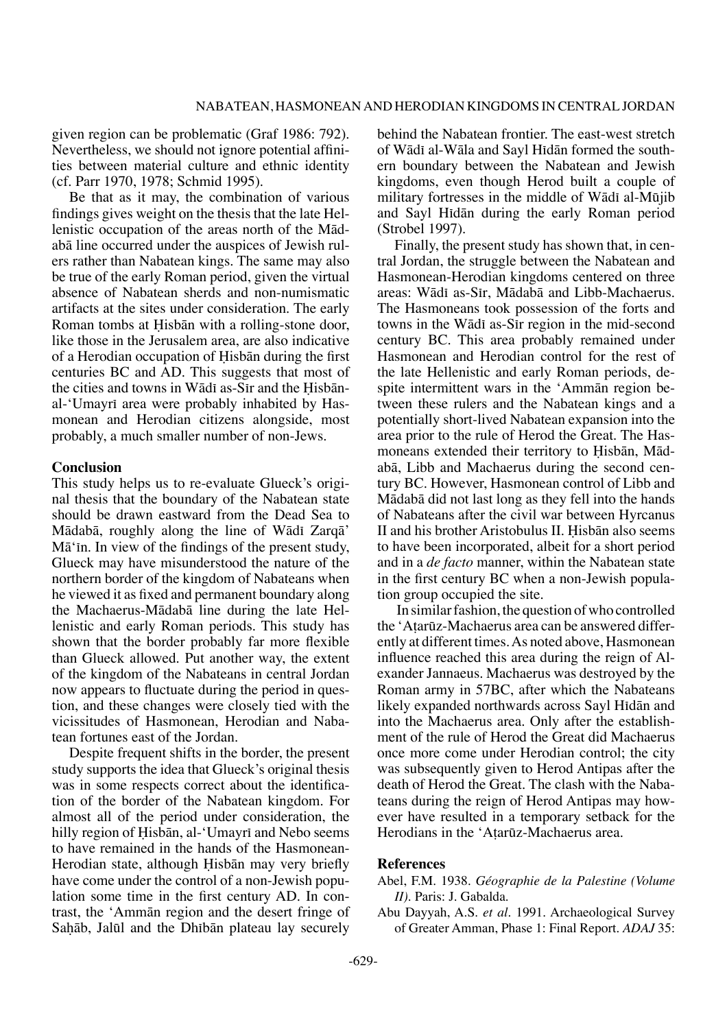given region can be problematic (Graf 1986: 792). Nevertheless, we should not ignore potential affinities between material culture and ethnic identity (cf. Parr 1970, 1978; Schmid 1995).

Be that as it may, the combination of various findings gives weight on the thesis that the late Hellenistic occupation of the areas north of the Mådabå line occurred under the auspices of Jewish rulers rather than Nabatean kings. The same may also be true of the early Roman period, given the virtual absence of Nabatean sherds and non-numismatic artifacts at the sites under consideration. The early Roman tombs at Hisbān with a rolling-stone door, like those in the Jerusalem area, are also indicative of a Herodian occupation of Hisbān during the first centuries BC and AD. This suggests that most of the cities and towns in Wādī as-Sīr and the Hisbānal-'Umayri area were probably inhabited by Hasmonean and Herodian citizens alongside, most probably, a much smaller number of non-Jews.

#### **Conclusion**

This study helps us to re-evaluate Glueck's original thesis that the boundary of the Nabatean state should be drawn eastward from the Dead Sea to Mādabā, roughly along the line of Wādī Zarqā' Mā' in. In view of the findings of the present study, Glueck may have misunderstood the nature of the northern border of the kingdom of Nabateans when he viewed it as fixed and permanent boundary along the Machaerus-Mådabå line during the late Hellenistic and early Roman periods. This study has shown that the border probably far more flexible than Glueck allowed. Put another way, the extent of the kingdom of the Nabateans in central Jordan now appears to fluctuate during the period in question, and these changes were closely tied with the vicissitudes of Hasmonean, Herodian and Nabatean fortunes east of the Jordan.

Despite frequent shifts in the border, the present study supports the idea that Glueck's original thesis was in some respects correct about the identification of the border of the Nabatean kingdom. For almost all of the period under consideration, the hilly region of Hisbān, al-'Umayrī and Nebo seems to have remained in the hands of the Hasmonean-Herodian state, although Hisbān may very briefly have come under the control of a non-Jewish population some time in the first century AD. In contrast, the 'Ammån region and the desert fringe of Sahāb, Jalūl and the Dhibān plateau lay securely behind the Nabatean frontier. The east-west stretch of Wādī al-Wāla and Sayl Hīdān formed the southern boundary between the Nabatean and Jewish kingdoms, even though Herod built a couple of military fortresses in the middle of Wādī al-Mūjib and Sayl Hidān during the early Roman period (Strobel 1997).

Finally, the present study has shown that, in central Jordan, the struggle between the Nabatean and Hasmonean-Herodian kingdoms centered on three areas: Wādī as-Sīr, Mādabā and Libb-Machaerus. The Hasmoneans took possession of the forts and towns in the Wādī as-Sīr region in the mid-second century BC. This area probably remained under Hasmonean and Herodian control for the rest of the late Hellenistic and early Roman periods, despite intermittent wars in the 'Ammån region between these rulers and the Nabatean kings and a potentially short-lived Nabatean expansion into the area prior to the rule of Herod the Great. The Hasmoneans extended their territory to Hisbān, Mādabå, Libb and Machaerus during the second century BC. However, Hasmonean control of Libb and Mådabå did not last long as they fell into the hands of Nabateans after the civil war between Hyrcanus II and his brother Aristobulus II. Hisbān also seems to have been incorporated, albeit for a short period and in a *de facto* manner, within the Nabatean state in the first century BC when a non-Jewish population group occupied the site.

 In similar fashion, the question of who controlled the 'Atarūz-Machaerus area can be answered differently at different times. As noted above, Hasmonean influence reached this area during the reign of Alexander Jannaeus. Machaerus was destroyed by the Roman army in 57BC, after which the Nabateans likely expanded northwards across Sayl Hidān and into the Machaerus area. Only after the establishment of the rule of Herod the Great did Machaerus once more come under Herodian control; the city was subsequently given to Herod Antipas after the death of Herod the Great. The clash with the Nabateans during the reign of Herod Antipas may however have resulted in a temporary setback for the Herodians in the 'A†arøz-Machaerus area.

#### **References**

## Abel, F.M. 1938. *Géographie de la Palestine (Volume II)*. Paris: J. Gabalda.

Abu Dayyah, A.S. *et al.* 1991. Archaeological Survey of Greater Amman, Phase 1: Final Report. *ADAJ* 35: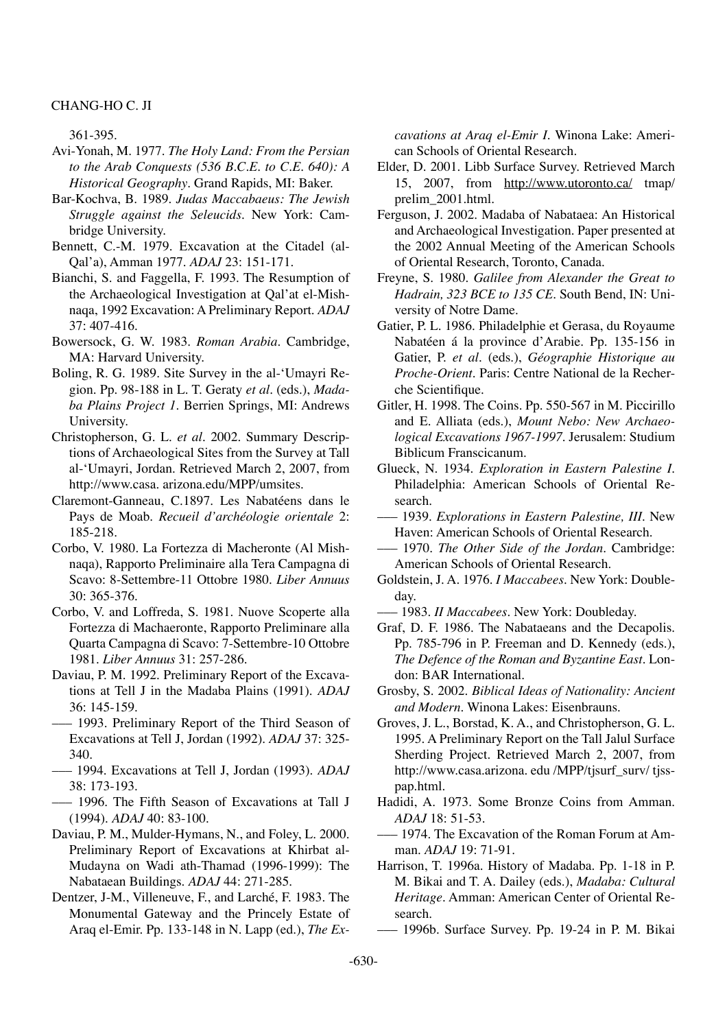361-395.

- Avi-Yonah, M. 1977. *The Holy Land: From the Persian to the Arab Conquests (536 B.C.E. to C.E. 640): A Historical Geography*. Grand Rapids, MI: Baker.
- Bar-Kochva, B. 1989. *Judas Maccabaeus: The Jewish Struggle against the Seleucids*. New York: Cambridge University.
- Bennett, C.-M. 1979. Excavation at the Citadel (al-Qal'a), Amman 1977. *ADAJ* 23: 151-171.
- Bianchi, S. and Faggella, F. 1993. The Resumption of the Archaeological Investigation at Qal'at el-Mishnaqa, 1992 Excavation: A Preliminary Report. *ADAJ*  37: 407-416.
- Bowersock, G. W. 1983. *Roman Arabia*. Cambridge, MA: Harvard University.
- Boling, R. G. 1989. Site Survey in the al-'Umayri Region. Pp. 98-188 in L. T. Geraty *et al.* (eds.), *Madaba Plains Project 1.* Berrien Springs, MI: Andrews University.
- Christopherson, G. L. *et al.* 2002. Summary Descriptions of Archaeological Sites from the Survey at Tall al-'Umayri, Jordan. Retrieved March 2, 2007, from http://www.casa. arizona.edu/MPP/umsites.
- Claremont-Ganneau, C.1897. Les Nabatéens dans le Pays de Moab. *Recueil d'archéologie orientale* 2: 185-218.
- Corbo, V. 1980. La Fortezza di Macheronte (Al Mishnaqa), Rapporto Preliminaire alla Tera Campagna di Scavo: 8-Settembre-11 Ottobre 1980. *Liber Annuus*  30: 365-376.
- Corbo, V. and Loffreda, S. 1981. Nuove Scoperte alla Fortezza di Machaeronte, Rapporto Preliminare alla Quarta Campagna di Scavo: 7-Settembre-10 Ottobre 1981. *Liber Annuus* 31: 257-286.
- Daviau, P. M. 1992. Preliminary Report of the Excavations at Tell J in the Madaba Plains (1991). *ADAJ*  36: 145-159.
- ––– 1993. Preliminary Report of the Third Season of Excavations at Tell J, Jordan (1992). *ADAJ* 37: 325- 340.
- ––– 1994. Excavations at Tell J, Jordan (1993). *ADAJ*  38: 173-193.
- ––– 1996. The Fifth Season of Excavations at Tall J (1994). *ADAJ* 40: 83-100.
- Daviau, P. M., Mulder-Hymans, N., and Foley, L. 2000. Preliminary Report of Excavations at Khirbat al-Mudayna on Wadi ath-Thamad (1996-1999): The Nabataean Buildings. *ADAJ* 44: 271-285.
- Dentzer, J-M., Villeneuve, F., and Larché, F. 1983. The Monumental Gateway and the Princely Estate of Araq el-Emir. Pp. 133-148 in N. Lapp (ed.), *The Ex-*

*cavations at Araq el-Emir I.* Winona Lake: American Schools of Oriental Research.

- Elder, D. 2001. Libb Surface Survey. Retrieved March 15, 2007, from http://www.utoronto.ca/ tmap/ prelim\_2001.html.
- Ferguson, J. 2002. Madaba of Nabataea: An Historical and Archaeological Investigation. Paper presented at the 2002 Annual Meeting of the American Schools of Oriental Research, Toronto, Canada.
- Freyne, S. 1980. *Galilee from Alexander the Great to Hadrain, 323 BCE to 135 CE.* South Bend, IN: University of Notre Dame.
- Gatier, P. L. 1986. Philadelphie et Gerasa, du Royaume Nabatéen á la province d'Arabie. Pp. 135-156 in Gatier, P. *et al.* (eds.), *Géographie Historique au Proche-Orient*. Paris: Centre National de la Recherche Scientifique.
- Gitler, H. 1998. The Coins. Pp. 550-567 in M. Piccirillo and E. Alliata (eds.), *Mount Nebo: New Archaeological Excavations 1967-1997.* Jerusalem: Studium Biblicum Franscicanum.
- Glueck, N. 1934. *Exploration in Eastern Palestine I*. Philadelphia: American Schools of Oriental Research.
- ––– 1939. *Explorations in Eastern Palestine, III*. New Haven: American Schools of Oriental Research.
- ––– 1970. *The Other Side of the Jordan*. Cambridge: American Schools of Oriental Research.
- Goldstein, J. A. 1976. *I Maccabees*. New York: Doubleday.
- ––– 1983. *II Maccabees*. New York: Doubleday.
- Graf, D. F. 1986. The Nabataeans and the Decapolis. Pp. 785-796 in P. Freeman and D. Kennedy (eds.), *The Defence of the Roman and Byzantine East*. London: BAR International.
- Grosby, S. 2002. *Biblical Ideas of Nationality: Ancient and Modern*. Winona Lakes: Eisenbrauns.
- Groves, J. L., Borstad, K. A., and Christopherson, G. L. 1995. A Preliminary Report on the Tall Jalul Surface Sherding Project. Retrieved March 2, 2007, from http://www.casa.arizona. edu /MPP/tjsurf\_surv/ tjsspap.html.
- Hadidi, A. 1973. Some Bronze Coins from Amman. *ADAJ* 18: 51-53.
- 1974. The Excavation of the Roman Forum at Amman. *ADAJ* 19: 71-91.
- Harrison, T. 1996a. History of Madaba. Pp. 1-18 in P. M. Bikai and T. A. Dailey (eds.), *Madaba: Cultural Heritage*. Amman: American Center of Oriental Research.
- ––– 1996b. Surface Survey. Pp. 19-24 in P. M. Bikai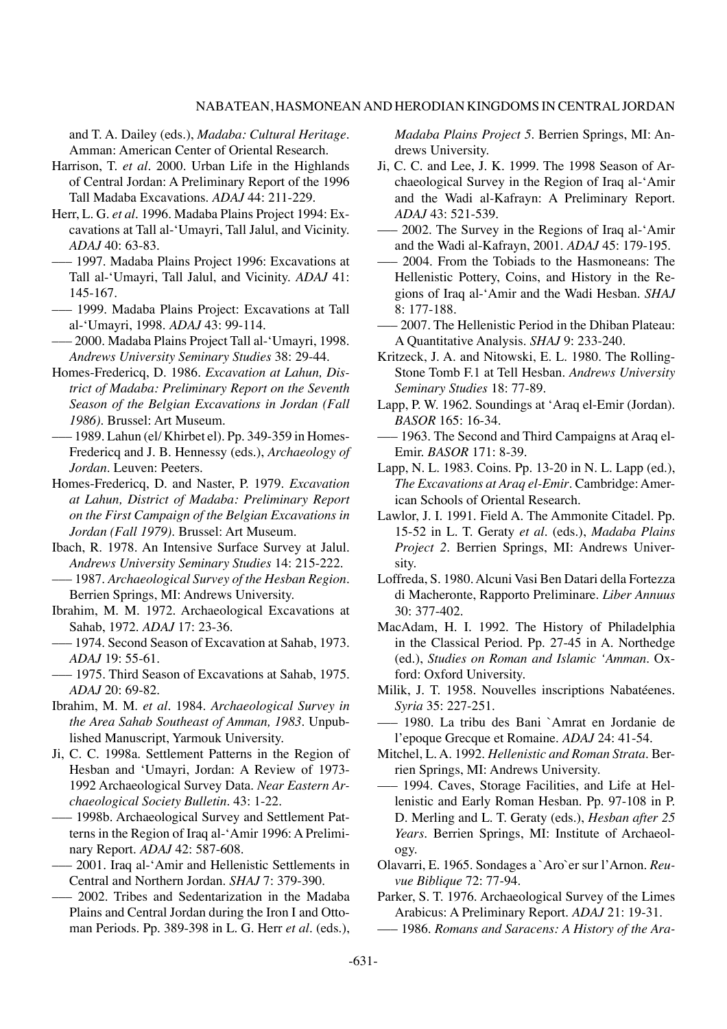and T. A. Dailey (eds.), *Madaba: Cultural Heritage*. Amman: American Center of Oriental Research.

- Harrison, T. *et al.* 2000. Urban Life in the Highlands of Central Jordan: A Preliminary Report of the 1996 Tall Madaba Excavations. *ADAJ* 44: 211-229.
- Herr, L. G. *et al.* 1996. Madaba Plains Project 1994: Excavations at Tall al-'Umayri, Tall Jalul, and Vicinity. *ADAJ* 40: 63-83.
- ––– 1997. Madaba Plains Project 1996: Excavations at Tall al-'Umayri, Tall Jalul, and Vicinity. *ADAJ* 41: 145-167.
- ––– 1999. Madaba Plains Project: Excavations at Tall al-'Umayri, 1998. *ADAJ* 43: 99-114.
- ––– 2000. Madaba Plains Project Tall al-'Umayri, 1998. *Andrews University Seminary Studies* 38: 29-44.
- Homes-Fredericq, D. 1986. *Excavation at Lahun, District of Madaba: Preliminary Report on the Seventh Season of the Belgian Excavations in Jordan (Fall 1986)*. Brussel: Art Museum.
- ––– 1989. Lahun (el/ Khirbet el). Pp. 349-359 in Homes-Fredericq and J. B. Hennessy (eds.), *Archaeology of Jordan*. Leuven: Peeters.
- Homes-Fredericq, D. and Naster, P. 1979. *Excavation at Lahun, District of Madaba: Preliminary Report on the First Campaign of the Belgian Excavations in Jordan (Fall 1979)*. Brussel: Art Museum.
- Ibach, R. 1978. An Intensive Surface Survey at Jalul. *Andrews University Seminary Studies* 14: 215-222.
- ––– 1987. *Archaeological Survey of the Hesban Region*. Berrien Springs, MI: Andrews University.
- Ibrahim, M. M. 1972. Archaeological Excavations at Sahab, 1972. *ADAJ* 17: 23-36.
- ––– 1974. Second Season of Excavation at Sahab, 1973. *ADAJ* 19: 55-61.
- ––– 1975. Third Season of Excavations at Sahab, 1975. *ADAJ* 20: 69-82.
- Ibrahim, M. M. *et al.* 1984. *Archaeological Survey in the Area Sahab Southeast of Amman, 1983.* Unpublished Manuscript, Yarmouk University.
- Ji, C. C. 1998a. Settlement Patterns in the Region of Hesban and 'Umayri, Jordan: A Review of 1973- 1992 Archaeological Survey Data. *Near Eastern Archaeological Society Bulletin*. 43: 1-22.
- ––– 1998b. Archaeological Survey and Settlement Patterns in the Region of Iraq al-'Amir 1996: A Preliminary Report. *ADAJ* 42: 587-608.
- ––– 2001. Iraq al-'Amir and Hellenistic Settlements in Central and Northern Jordan. *SHAJ* 7: 379-390.
- ––– 2002. Tribes and Sedentarization in the Madaba Plains and Central Jordan during the Iron I and Ottoman Periods. Pp. 389-398 in L. G. Herr *et al.* (eds.),

*Madaba Plains Project 5*. Berrien Springs, MI: Andrews University.

- Ji, C. C. and Lee, J. K. 1999. The 1998 Season of Archaeological Survey in the Region of Iraq al-'Amir and the Wadi al-Kafrayn: A Preliminary Report. *ADAJ* 43: 521-539.
- ––– 2002. The Survey in the Regions of Iraq al-'Amir and the Wadi al-Kafrayn, 2001. *ADAJ* 45: 179-195.
- ––– 2004. From the Tobiads to the Hasmoneans: The Hellenistic Pottery, Coins, and History in the Regions of Iraq al-'Amir and the Wadi Hesban. *SHAJ* 8: 177-188.
- ––– 2007. The Hellenistic Period in the Dhiban Plateau: A Quantitative Analysis. *SHAJ* 9: 233-240.
- Kritzeck, J. A. and Nitowski, E. L. 1980. The Rolling-Stone Tomb F.1 at Tell Hesban. *Andrews University Seminary Studies* 18: 77-89.
- Lapp, P. W. 1962. Soundings at 'Araq el-Emir (Jordan). *BASOR* 165: 16-34.
- ––– 1963. The Second and Third Campaigns at Araq el-Emir. *BASOR* 171: 8-39.
- Lapp, N. L. 1983. Coins. Pp. 13-20 in N. L. Lapp (ed.), *The Excavations at Araq el-Emir*. Cambridge: American Schools of Oriental Research.
- Lawlor, J. I. 1991. Field A. The Ammonite Citadel. Pp. 15-52 in L. T. Geraty *et al.* (eds.), *Madaba Plains Project 2*. Berrien Springs, MI: Andrews University.
- Loffreda, S. 1980. Alcuni Vasi Ben Datari della Fortezza di Macheronte, Rapporto Preliminare. *Liber Annuus*  30: 377-402.
- MacAdam, H. I. 1992. The History of Philadelphia in the Classical Period. Pp. 27-45 in A. Northedge (ed.), *Studies on Roman and Islamic 'Amman*. Oxford: Oxford University.
- Milik, J. T. 1958. Nouvelles inscriptions Nabatéenes. *Syria* 35: 227-251.
- ––– 1980. La tribu des Bani `Amrat en Jordanie de l'epoque Grecque et Romaine. *ADAJ* 24: 41-54.
- Mitchel, L. A. 1992. *Hellenistic and Roman Strata*. Berrien Springs, MI: Andrews University.
- ––– 1994. Caves, Storage Facilities, and Life at Hellenistic and Early Roman Hesban. Pp. 97-108 in P. D. Merling and L. T. Geraty (eds.), *Hesban after 25 Years*. Berrien Springs, MI: Institute of Archaeology.
- Olavarri, E. 1965. Sondages a `Aro`er sur l'Arnon. *Reuvue Biblique* 72: 77-94.
- Parker, S. T. 1976. Archaeological Survey of the Limes Arabicus: A Preliminary Report. *ADAJ* 21: 19-31.
- ––– 1986. *Romans and Saracens: A History of the Ara-*